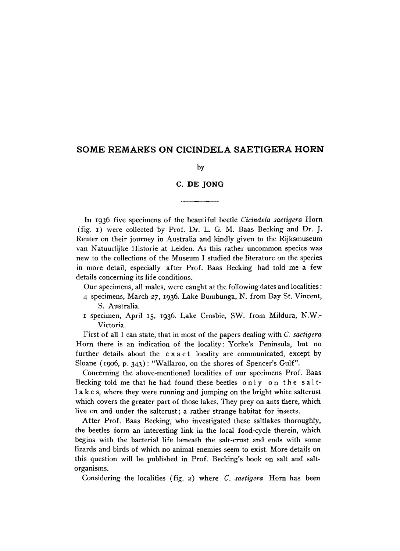## **SOME REMARKS ON CICINDELA SAETIGERA HORN**

by

## **C. DE JONG**

In 1936 five specimens of the beautiful beetle *Cicindela saetigera* Horn (fig.  $\mathbf{I}$ ) were collected by Prof. Dr. L. G. M. Baas Becking and Dr. J. Reuter on their journey in Australia and kindly given to the Rijksmuseum van Natuurlijke Historie at Leiden. As this rather uncommon species was new to the collections of the Museum I studied the literature on the species in more detail, especially after Prof. Baas Becking had told me a few details concerning its life conditions.

- Our specimens, all males, were caught at the following dates and localities:
- 4 specimens, March 27, 1936. Lake Bumbunga, N . from Bay St. Vincent, S. Australia.
- 1 specimen, April 15, 1936. Lake Crosbie, SW. from Mildura, N.W.- Victoria.

First of all I can state, that in most of the papers dealing with *C. saetigera*  Horn there is an indication of the locality: Yorke's Peninsula, but no further details about the exact locality are communicated, except by Sloane (1906, p. 343): "Wallaroo, on the shores of Spencer's Gulf".

Concerning the above-mentioned localities of our specimens Prof. Baas Becking told me that he had found these beetles only on the saltlakes, where they were running and jumping on the bright white saltcrust which covers the greater part of those lakes. They prey on ants there, which live on and under the saltcrust; a rather strange habitat for insects.

After Prof. Baas Becking, who investigated these saltlakes thoroughly, the beetles form an interesting link in the local food-cycle therein, which begins with the bacterial life beneath the salt-crust and ends with some lizards and birds of which no animal enemies seem to exist. More details on this question will be published in Prof. Becking's book on salt and saltorganisms.

Considering the localities (fig. 2) where *C. saetigera* Horn has been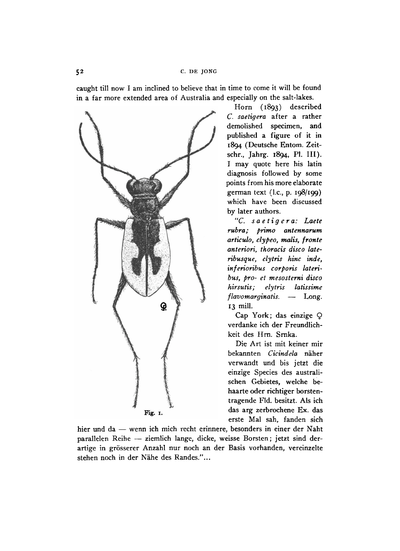caught till now I am inclined to believe that in time to come it will be found in a far more extended area of Australia and especially on the salt-lakes.



Horn (1893) described C. *saetigera* after a rather demolished specimen, and published a figure of it in 1894 (Deutsche Entom. Zeitschr., Jahrg. 1894, PL III). I may quote here his latin diagnosis followed by some points from his more elaborate german text (I.e., p. 198/199) which have been discussed by later authors.

*"C. saetigera: Laete rubra; primo antennarum articulo, clypeo, malis, fronte anteriori, thoracis disco lateribusque, elytris hinc inde, inferioribus corporis lateribus, pro- et mesosterni disco hirsutis; elytris latissime flavomarginatis.* — Long. 13 mill.

Cap York; das einzige  $Q$ verdanke ich der Freundlichkeit des Hrn. Srnka.

Die Art ist mit keiner mir bekannten *Cicindela* naher verwandt und bis jetzt die einzige Species des australischen Gebietes, welche behaarte oder richtiger borstentragende Fld. besitzt. Als ich Fig. I. das arg zerbrochene Ex. das erste Mal sah, fanden sich

hier und da — wenn ich mich recht erinnere, besonders in einer der Naht parallelen Reihe — ziemlich lange, dicke, weisse Borsten; jetzt sind derartige in grosserer Anzahl nur noch an der Basis vorhanden, vereinzelte stehen noch in der Nahe des Randes."...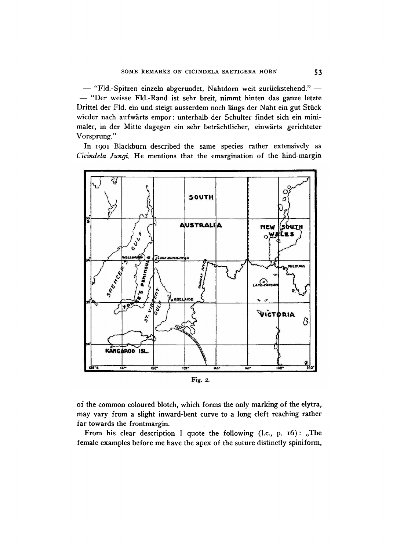— "Fld.-Spitzen einzeln abgerundet, Nahtdorn weit zurückstehend." — — "Der weisse Fld.-Rand ist sehr breit, nimmt hinten das ganze letzte Drittel der Fid. ein und steigt ausserdem noch langs der Naht ein gut Stuck wieder nach aufwarts empor: unterhalb der Schulter findet sich ein minimaler, in der Mitte dagegen ein sehr betrachtlicher, einwarts gerichteter Vorsprung."

In 1901 Blackburn described the same species rather extensively as *Cicindela Jungi.* He mentions that the emargination of the hind-margin





of the common coloured blotch, which forms the only marking of the elytra, may vary from a slight inward-bent curve to a long cleft reaching rather far towards the frontmargin.

From his clear description I quote the following  $(l.c., p. 16)$ : "The female examples before me have the apex of the suture distinctly spiniform,